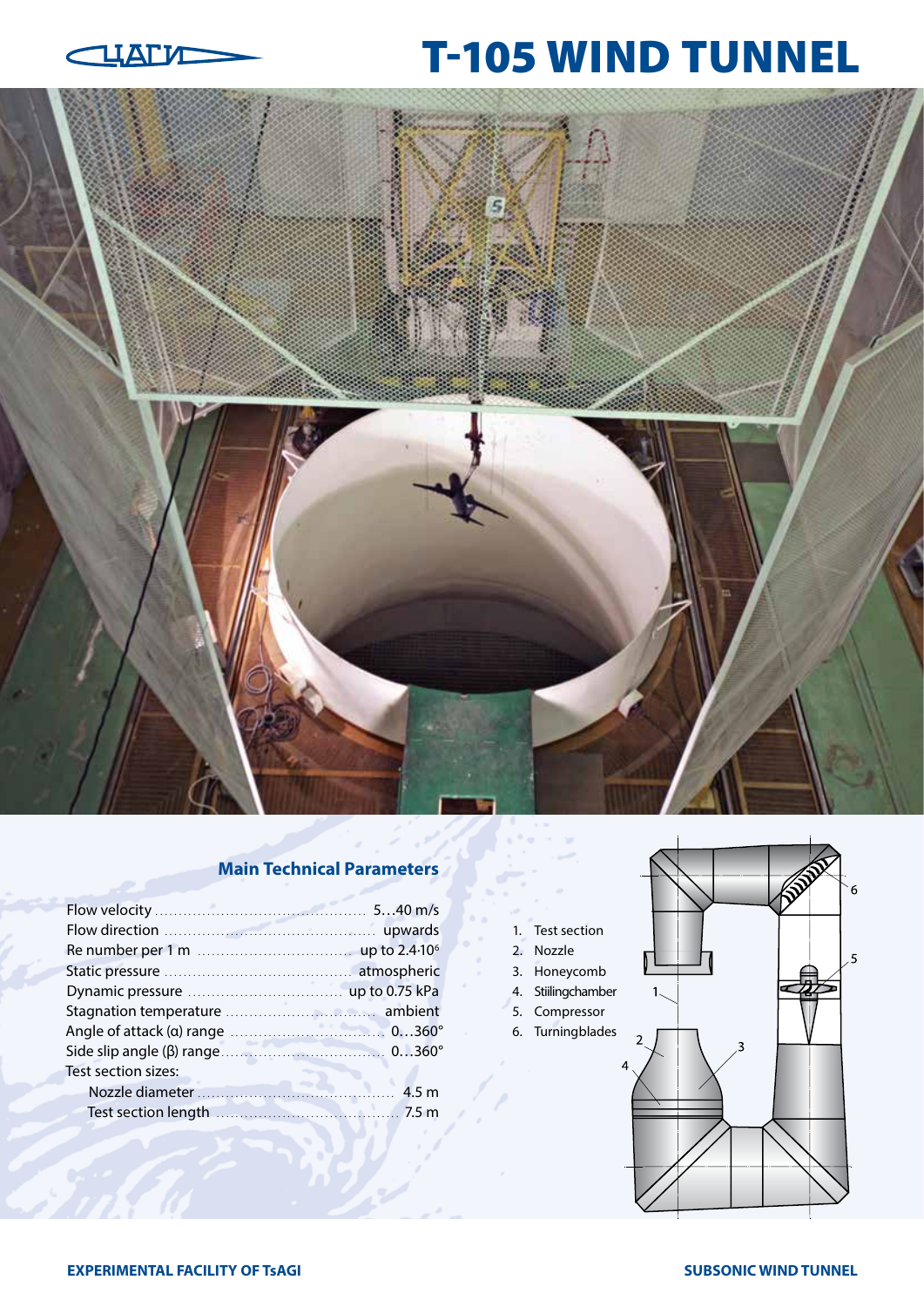

# T-105 WIND TUNNEL



## **Main Technical Parameters**

| Test section sizes: |  |
|---------------------|--|
|                     |  |
|                     |  |
|                     |  |